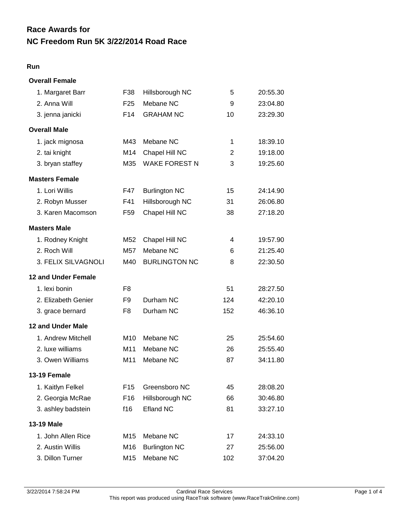# **NC Freedom Run 5K 3/22/2014 Road Race Race Awards for**

### **Run**

## **Overall Female**

| 1. Margaret Barr           | F38             | Hillsborough NC      | 5   | 20:55.30 |
|----------------------------|-----------------|----------------------|-----|----------|
| 2. Anna Will               | F <sub>25</sub> | Mebane NC            | 9   | 23:04.80 |
| 3. jenna janicki           | F14             | <b>GRAHAM NC</b>     | 10  | 23:29.30 |
| <b>Overall Male</b>        |                 |                      |     |          |
| 1. jack mignosa            | M43             | Mebane NC            | 1   | 18:39.10 |
| 2. tai knight              | M14             | Chapel Hill NC       | 2   | 19:18.00 |
| 3. bryan staffey           | M35             | <b>WAKE FOREST N</b> | 3   | 19:25.60 |
| <b>Masters Female</b>      |                 |                      |     |          |
| 1. Lori Willis             | F47             | <b>Burlington NC</b> | 15  | 24:14.90 |
| 2. Robyn Musser            | F41             | Hillsborough NC      | 31  | 26:06.80 |
| 3. Karen Macomson          | F59             | Chapel Hill NC       | 38  | 27:18.20 |
| <b>Masters Male</b>        |                 |                      |     |          |
| 1. Rodney Knight           | M52             | Chapel Hill NC       | 4   | 19:57.90 |
| 2. Roch Will               | M57             | Mebane NC            | 6   | 21:25.40 |
| 3. FELIX SILVAGNOLI        | M40             | <b>BURLINGTON NC</b> | 8   | 22:30.50 |
| <b>12 and Under Female</b> |                 |                      |     |          |
| 1. lexi bonin              | F8              |                      | 51  | 28:27.50 |
| 2. Elizabeth Genier        | F <sub>9</sub>  | Durham NC            | 124 | 42:20.10 |
| 3. grace bernard           | F8              | Durham NC            | 152 | 46:36.10 |
| <b>12 and Under Male</b>   |                 |                      |     |          |
| 1. Andrew Mitchell         | M <sub>10</sub> | Mebane NC            | 25  | 25:54.60 |
| 2. luxe williams           | M11             | Mebane NC            | 26  | 25:55.40 |
| 3. Owen Williams           | M11             | Mebane NC            | 87  | 34:11.80 |
| 13-19 Female               |                 |                      |     |          |
| 1. Kaitlyn Felkel          |                 | F15 Greensboro NC    | 45  | 28:08.20 |
| 2. Georgia McRae           | F16             | Hillsborough NC      | 66  | 30:46.80 |
| 3. ashley badstein         | f16             | <b>Efland NC</b>     | 81  | 33:27.10 |
| 13-19 Male                 |                 |                      |     |          |
| 1. John Allen Rice         | M15             | Mebane NC            | 17  | 24:33.10 |
| 2. Austin Willis           | M16             | <b>Burlington NC</b> | 27  | 25:56.00 |
| 3. Dillon Turner           | M15             | Mebane NC            | 102 | 37:04.20 |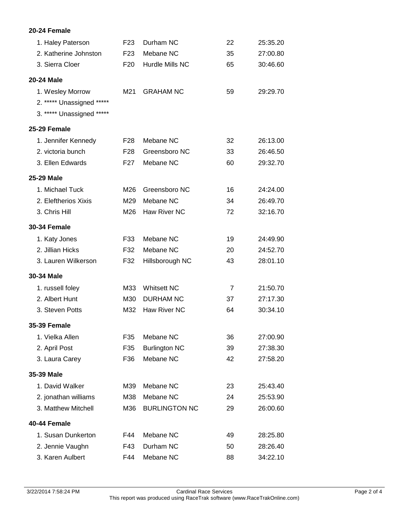### **20-24 Female**

| 1. Haley Paterson                                                          | F <sub>23</sub> | Durham NC            | 22             | 25:35.20 |
|----------------------------------------------------------------------------|-----------------|----------------------|----------------|----------|
| 2. Katherine Johnston                                                      | F <sub>23</sub> | Mebane NC            | 35             | 27:00.80 |
| 3. Sierra Cloer                                                            | F <sub>20</sub> | Hurdle Mills NC      | 65             | 30:46.60 |
| <b>20-24 Male</b>                                                          |                 |                      |                |          |
| 1. Wesley Morrow<br>2. ***** Unassigned *****<br>3. ***** Unassigned ***** | M21             | <b>GRAHAM NC</b>     | 59             | 29:29.70 |
| 25-29 Female                                                               |                 |                      |                |          |
| 1. Jennifer Kennedy                                                        | F28             | Mebane NC            | 32             | 26:13.00 |
| 2. victoria bunch                                                          | F <sub>28</sub> | Greensboro NC        | 33             | 26:46.50 |
| 3. Ellen Edwards                                                           | F <sub>27</sub> | Mebane NC            | 60             | 29:32.70 |
| 25-29 Male                                                                 |                 |                      |                |          |
| 1. Michael Tuck                                                            | M26             | Greensboro NC        | 16             | 24:24.00 |
| 2. Eleftherios Xixis                                                       | M29             | Mebane NC            | 34             | 26:49.70 |
| 3. Chris Hill                                                              | M26             | Haw River NC         | 72             | 32:16.70 |
| <b>30-34 Female</b>                                                        |                 |                      |                |          |
| 1. Katy Jones                                                              | F33             | Mebane NC            | 19             | 24:49.90 |
| 2. Jillian Hicks                                                           | F32             | Mebane NC            | 20             | 24:52.70 |
| 3. Lauren Wilkerson                                                        | F32             | Hillsborough NC      | 43             | 28:01.10 |
| 30-34 Male                                                                 |                 |                      |                |          |
| 1. russell foley                                                           | M33             | <b>Whitsett NC</b>   | $\overline{7}$ | 21:50.70 |
| 2. Albert Hunt                                                             | M30             | <b>DURHAM NC</b>     | 37             | 27:17.30 |
| 3. Steven Potts                                                            | M32             | Haw River NC         | 64             | 30:34.10 |
| <b>35-39 Female</b>                                                        |                 |                      |                |          |
| 1. Vielka Allen                                                            | F35             | Mebane NC            | 36             | 27:00.90 |
| 2. April Post                                                              | F35             | <b>Burlington NC</b> | 39             | 27:38.30 |
| 3. Laura Carey                                                             | F36             | Mebane NC            | 42             | 27:58.20 |
| 35-39 Male                                                                 |                 |                      |                |          |
| 1. David Walker                                                            | M39             | Mebane NC            | 23             | 25:43.40 |
| 2. jonathan williams                                                       | M38             | Mebane NC            | 24             | 25:53.90 |
| 3. Matthew Mitchell                                                        | M36             | <b>BURLINGTON NC</b> | 29             | 26:00.60 |
| 40-44 Female                                                               |                 |                      |                |          |
| 1. Susan Dunkerton                                                         | F44             | Mebane NC            | 49             | 28:25.80 |
| 2. Jennie Vaughn                                                           | F43             | Durham NC            | 50             | 28:26.40 |
| 3. Karen Aulbert                                                           | F44             | Mebane NC            | 88             | 34:22.10 |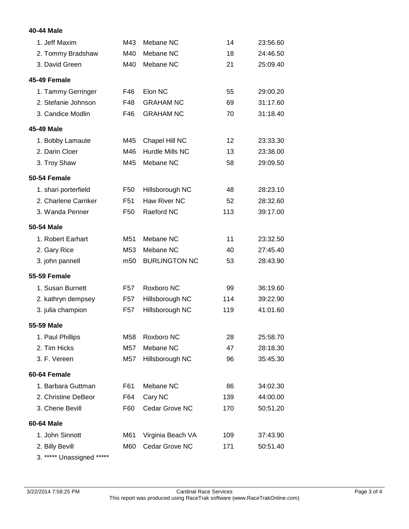### **40-44 Male**

| 1. Jeff Maxim        | M43             | Mebane NC            | 14  | 23:56.60 |
|----------------------|-----------------|----------------------|-----|----------|
| 2. Tommy Bradshaw    | M40             | Mebane NC            | 18  | 24:46.50 |
| 3. David Green       | M40             | Mebane NC            | 21  | 25:09.40 |
| 45-49 Female         |                 |                      |     |          |
| 1. Tammy Gerringer   | F46             | Elon NC              | 55  | 29:00.20 |
| 2. Stefanie Johnson  | F48             | <b>GRAHAM NC</b>     | 69  | 31:17.60 |
| 3. Candice Modlin    | F46             | <b>GRAHAM NC</b>     | 70  | 31:18.40 |
| 45-49 Male           |                 |                      |     |          |
| 1. Bobby Lamaute     | M45             | Chapel Hill NC       | 12  | 23:33.30 |
| 2. Darin Cloer       | M46             | Hurdle Mills NC      | 13  | 23:38.00 |
| 3. Troy Shaw         | M45             | Mebane NC            | 58  | 29:09.50 |
| 50-54 Female         |                 |                      |     |          |
| 1. shari porterfield | F <sub>50</sub> | Hillsborough NC      | 48  | 28:23.10 |
| 2. Charlene Carriker | F <sub>51</sub> | Haw River NC         | 52  | 28:32.60 |
| 3. Wanda Penner      | F <sub>50</sub> | Raeford NC           | 113 | 39:17.00 |
| 50-54 Male           |                 |                      |     |          |
| 1. Robert Earhart    | M51             | Mebane NC            | 11  | 23:32.50 |
| 2. Gary Rice         | M <sub>53</sub> | Mebane NC            | 40  | 27:45.40 |
| 3. john pannell      | m <sub>50</sub> | <b>BURLINGTON NC</b> | 53  | 28:43.90 |
| <b>55-59 Female</b>  |                 |                      |     |          |
| 1. Susan Burnett     | F <sub>57</sub> | Roxboro NC           | 99  | 36:19.60 |
| 2. kathryn dempsey   | F57             | Hillsborough NC      | 114 | 39:22.90 |
| 3. julia champion    | F <sub>57</sub> | Hillsborough NC      | 119 | 41:01.60 |
| 55-59 Male           |                 |                      |     |          |
| 1. Paul Phillips     | M58             | Roxboro NC           | 28  | 25:58.70 |
| 2. Tim Hicks         | M57             | Mebane NC            | 47  | 28:18.30 |
| 3. F. Vereen         | M57             | Hillsborough NC      | 96  | 35:45.30 |
| 60-64 Female         |                 |                      |     |          |
| 1. Barbara Guttman   | F61             | Mebane NC            | 86  | 34:02.30 |
| 2. Christine DeBeor  | F64             | Cary NC              | 139 | 44:00.00 |
| 3. Cherie Bevill     | F60             | Cedar Grove NC       | 170 | 50:51.20 |
| 60-64 Male           |                 |                      |     |          |
| 1. John Sinnott      | M61             | Virginia Beach VA    | 109 | 37:43.90 |
| 2. Billy Bevill      | M60             | Cedar Grove NC       | 171 | 50:51.40 |
|                      |                 |                      |     |          |

3. \*\*\*\*\* Unassigned \*\*\*\*\*